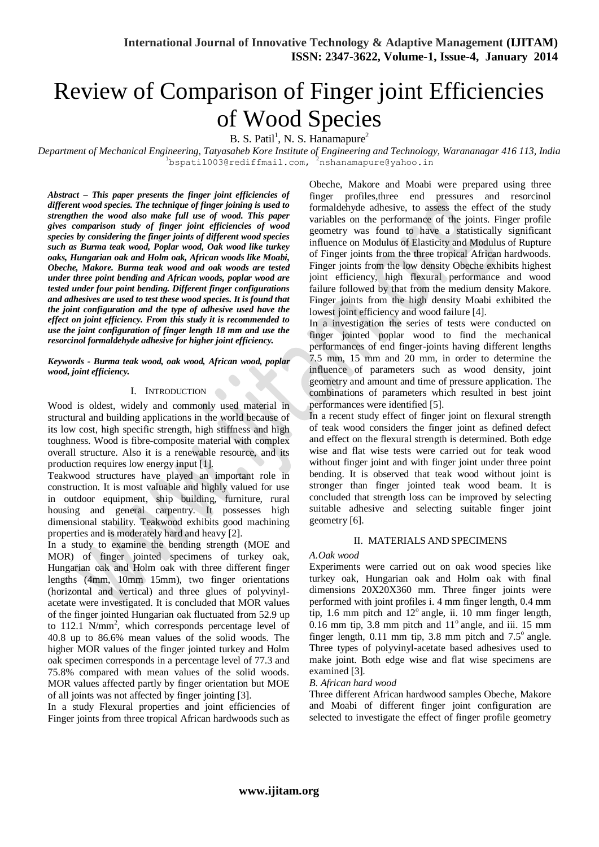# Review of Comparison of Finger joint Efficiencies of Wood Species

 $B. S. Patil<sup>1</sup>, N. S. Hananapure<sup>2</sup>$ 

*Department of Mechanical Engineering, Tatyasaheb Kore Institute of Engineering and Technology, Warananagar 416 113, India* 1bspatil003@rediffmail.com, 2nshanamapure@yahoo.in

*Abstract – This paper presents the finger joint efficiencies of different wood species. The technique of finger joining is used to strengthen the wood also make full use of wood. This paper gives comparison study of finger joint efficiencies of wood species by considering the finger joints of different wood species such as Burma teak wood, Poplar wood, Oak wood like turkey oaks, Hungarian oak and Holm oak, African woods like Moabi, Obeche, Makore. Burma teak wood and oak woods are tested under three point bending and African woods, poplar wood are tested under four point bending. Different finger configurations and adhesives are used to test these wood species. It is found that the joint configuration and the type of adhesive used have the effect on joint efficiency. From this study it is recommended to use the joint configuration of finger length 18 mm and use the resorcinol formaldehyde adhesive for higher joint efficiency.* 

#### *Keywords - Burma teak wood, oak wood, African wood, poplar wood, joint efficiency.*

## I. INTRODUCTION

Wood is oldest, widely and commonly used material in structural and building applications in the world because of its low cost, high specific strength, high stiffness and high toughness. Wood is fibre-composite material with complex overall structure. Also it is a renewable resource, and its production requires low energy input [1].

Teakwood structures have played an important role in construction. It is most valuable and highly valued for use in outdoor equipment, ship building, furniture, rural housing and general carpentry. It possesses high dimensional stability. Teakwood exhibits good machining properties and is moderately hard and heavy [2].

In a study to examine the bending strength (MOE and MOR) of finger jointed specimens of turkey oak, Hungarian oak and Holm oak with three different finger lengths (4mm, 10mm 15mm), two finger orientations (horizontal and vertical) and three glues of polyvinylacetate were investigated. It is concluded that MOR values of the finger jointed Hungarian oak fluctuated from 52.9 up to 112.1 N/mm<sup>2</sup>, which corresponds percentage level of 40.8 up to 86.6% mean values of the solid woods. The higher MOR values of the finger jointed turkey and Holm oak specimen corresponds in a percentage level of 77.3 and 75.8% compared with mean values of the solid woods. MOR values affected partly by finger orientation but MOE of all joints was not affected by finger jointing [3].

In a study Flexural properties and joint efficiencies of Finger joints from three tropical African hardwoods such as

Obeche, Makore and Moabi were prepared using three finger profiles,three end pressures and resorcinol formaldehyde adhesive, to assess the effect of the study variables on the performance of the joints. Finger profile geometry was found to have a statistically significant influence on Modulus of Elasticity and Modulus of Rupture of Finger joints from the three tropical African hardwoods. Finger joints from the low density Obeche exhibits highest joint efficiency, high flexural performance and wood failure followed by that from the medium density Makore. Finger joints from the high density Moabi exhibited the lowest joint efficiency and wood failure [4].

In a investigation the series of tests were conducted on finger jointed poplar wood to find the mechanical performances of end finger-joints having different lengths 7.5 mm, 15 mm and 20 mm, in order to determine the influence of parameters such as wood density, joint geometry and amount and time of pressure application. The combinations of parameters which resulted in best joint performances were identified [5].

In a recent study effect of finger joint on flexural strength of teak wood considers the finger joint as defined defect and effect on the flexural strength is determined. Both edge wise and flat wise tests were carried out for teak wood without finger joint and with finger joint under three point bending. It is observed that teak wood without joint is stronger than finger jointed teak wood beam. It is concluded that strength loss can be improved by selecting suitable adhesive and selecting suitable finger joint geometry [6].

## II. MATERIALS AND SPECIMENS

#### *A.Oak wood*

Experiments were carried out on oak wood species like turkey oak, Hungarian oak and Holm oak with final dimensions 20X20X360 mm. Three finger joints were performed with joint profiles i. 4 mm finger length, 0.4 mm tip, 1.6 mm pitch and  $12^{\circ}$  angle, ii. 10 mm finger length,  $0.16$  mm tip,  $3.8$  mm pitch and  $11^{\circ}$  angle, and iii. 15 mm finger length,  $0.11$  mm tip,  $3.8$  mm pitch and  $7.5^\circ$  angle. Three types of polyvinyl-acetate based adhesives used to make joint. Both edge wise and flat wise specimens are examined [3].

#### *B. African hard wood*

Three different African hardwood samples Obeche, Makore and Moabi of different finger joint configuration are selected to investigate the effect of finger profile geometry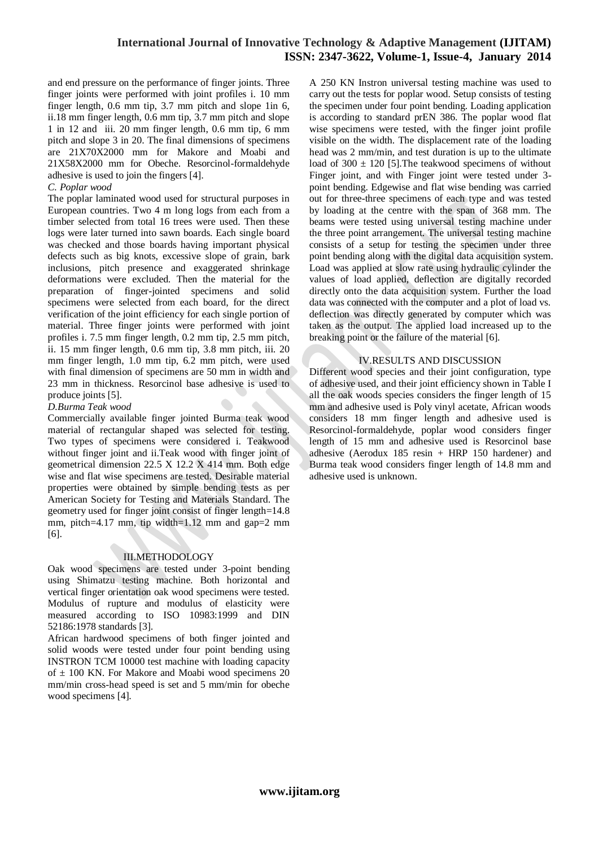# **International Journal of Innovative Technology & Adaptive Management (IJITAM) ISSN: 2347-3622, Volume-1, Issue-4, January 2014**

and end pressure on the performance of finger joints. Three finger joints were performed with joint profiles i. 10 mm finger length, 0.6 mm tip, 3.7 mm pitch and slope 1in 6, ii.18 mm finger length, 0.6 mm tip, 3.7 mm pitch and slope 1 in 12 and iii. 20 mm finger length, 0.6 mm tip, 6 mm pitch and slope 3 in 20. The final dimensions of specimens are 21X70X2000 mm for Makore and Moabi and 21X58X2000 mm for Obeche. Resorcinol-formaldehyde adhesive is used to join the fingers [4].

#### *C. Poplar wood*

The poplar laminated wood used for structural purposes in European countries. Two 4 m long logs from each from a timber selected from total 16 trees were used. Then these logs were later turned into sawn boards. Each single board was checked and those boards having important physical defects such as big knots, excessive slope of grain, bark inclusions, pitch presence and exaggerated shrinkage deformations were excluded. Then the material for the preparation of finger-jointed specimens and solid specimens were selected from each board, for the direct verification of the joint efficiency for each single portion of material. Three finger joints were performed with joint profiles i. 7.5 mm finger length, 0.2 mm tip, 2.5 mm pitch, ii. 15 mm finger length, 0.6 mm tip, 3.8 mm pitch, iii. 20 mm finger length, 1.0 mm tip, 6.2 mm pitch, were used with final dimension of specimens are 50 mm in width and 23 mm in thickness. Resorcinol base adhesive is used to produce joints [5].

#### *D.Burma Teak wood*

Commercially available finger jointed Burma teak wood material of rectangular shaped was selected for testing. Two types of specimens were considered i. Teakwood without finger joint and ii.Teak wood with finger joint of geometrical dimension 22.5 X 12.2 X 414 mm. Both edge wise and flat wise specimens are tested. Desirable material properties were obtained by simple bending tests as per American Society for Testing and Materials Standard. The geometry used for finger joint consist of finger length=14.8 mm, pitch=4.17 mm, tip width=1.12 mm and gap=2 mm [6].

## III.METHODOLOGY

Oak wood specimens are tested under 3-point bending using Shimatzu testing machine. Both horizontal and vertical finger orientation oak wood specimens were tested. Modulus of rupture and modulus of elasticity were measured according to ISO 10983:1999 and DIN 52186:1978 standards [3].

African hardwood specimens of both finger jointed and solid woods were tested under four point bending using INSTRON TCM 10000 test machine with loading capacity of  $\pm$  100 KN. For Makore and Moabi wood specimens 20 mm/min cross-head speed is set and 5 mm/min for obeche wood specimens [4].

A 250 KN Instron universal testing machine was used to carry out the tests for poplar wood. Setup consists of testing the specimen under four point bending. Loading application is according to standard prEN 386. The poplar wood flat wise specimens were tested, with the finger joint profile visible on the width. The displacement rate of the loading head was 2 mm/min, and test duration is up to the ultimate load of  $300 \pm 120$  [5]. The teakwood specimens of without Finger joint, and with Finger joint were tested under 3 point bending. Edgewise and flat wise bending was carried out for three-three specimens of each type and was tested by loading at the centre with the span of 368 mm. The beams were tested using universal testing machine under the three point arrangement. The universal testing machine consists of a setup for testing the specimen under three point bending along with the digital data acquisition system. Load was applied at slow rate using hydraulic cylinder the values of load applied, deflection are digitally recorded directly onto the data acquisition system. Further the load data was connected with the computer and a plot of load vs. deflection was directly generated by computer which was taken as the output. The applied load increased up to the breaking point or the failure of the material [6].

#### IV.RESULTS AND DISCUSSION

Different wood species and their joint configuration, type of adhesive used, and their joint efficiency shown in Table I all the oak woods species considers the finger length of 15 mm and adhesive used is Poly vinyl acetate, African woods considers 18 mm finger length and adhesive used is Resorcinol-formaldehyde, poplar wood considers finger length of 15 mm and adhesive used is Resorcinol base adhesive (Aerodux 185 resin + HRP 150 hardener) and Burma teak wood considers finger length of 14.8 mm and adhesive used is unknown.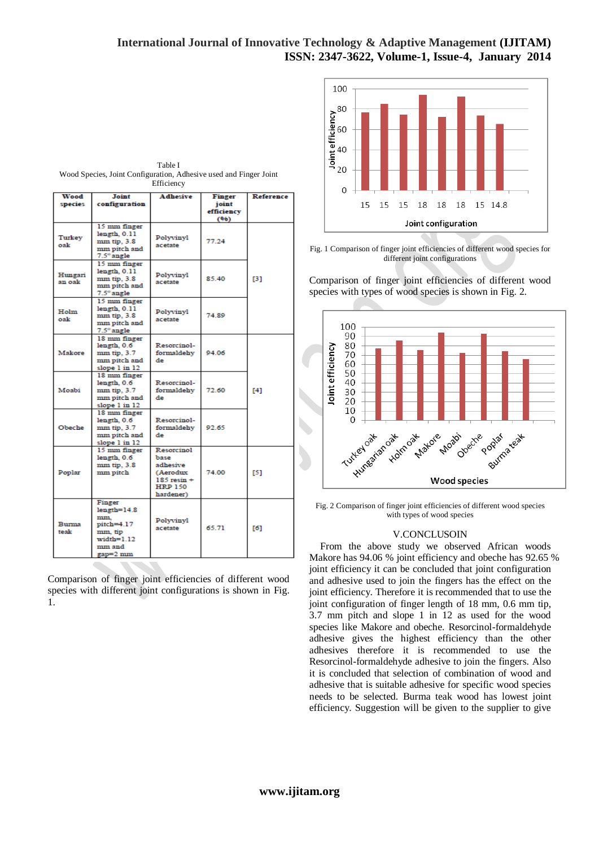# **International Journal of Innovative Technology & Adaptive Management (IJITAM) ISSN: 2347-3622, Volume-1, Issue-4, January 2014**



Fig. 1 Comparison of finger joint efficiencies of different wood species for different joint configurations

Comparison of finger joint efficiencies of different wood species with types of wood species is shown in Fig. 2.



Fig. 2 Comparison of finger joint efficiencies of different wood species with types of wood species

#### V.CONCLUSOIN

From the above study we observed African woods Makore has 94.06 % joint efficiency and obeche has 92.65 % joint efficiency it can be concluded that joint configuration and adhesive used to join the fingers has the effect on the joint efficiency. Therefore it is recommended that to use the joint configuration of finger length of 18 mm, 0.6 mm tip, 3.7 mm pitch and slope 1 in 12 as used for the wood species like Makore and obeche. Resorcinol-formaldehyde adhesive gives the highest efficiency than the other adhesives therefore it is recommended to use the Resorcinol-formaldehyde adhesive to join the fingers. Also it is concluded that selection of combination of wood and adhesive that is suitable adhesive for specific wood species needs to be selected. Burma teak wood has lowest joint efficiency. Suggestion will be given to the supplier to give

Table I Wood Species, Joint Configuration, Adhesive used and Finger Joint Efficiency

| Wood                 | Joint                                                                             | <b>Adhesive</b>                                                                              | Finger             | Reference  |
|----------------------|-----------------------------------------------------------------------------------|----------------------------------------------------------------------------------------------|--------------------|------------|
| species              | configuration                                                                     |                                                                                              | joint              |            |
|                      |                                                                                   |                                                                                              | efficiency<br>(96) |            |
| Turkey<br>oak        | 15 mm finger<br>length, 0.11<br>mm tip. 3.8<br>mm pitch and<br>7.5° angle         | Polyvinyl<br>acetate                                                                         | 77.24              |            |
| Hungari<br>an oak    | 15 mm finger<br>length, 0.11<br>mm tip, 3.8<br>mm pitch and<br>7.5° angle         | Polyvinyl<br>acetate                                                                         | 85.40              | <b>F31</b> |
| Holm<br>oak          | 15 mm finger<br>length, 0.11<br>mm tip, 3.8<br>mm pitch and<br>7.5° angle         | Polyvinyl<br>acetate                                                                         | 74.89              |            |
| Makore               | 18 mm finger<br>length, 0.6<br>mm tip, 3.7<br>mm pitch and<br>slope 1 in 12       | Resorcinol-<br>formaldehy<br>de                                                              | 94.06              |            |
| Moabi                | 18 mm finger<br>length, 0.6<br>mm tip, 3.7<br>mm pitch and<br>slope 1 in 12       | Resorcinol-<br>formaldehy<br>de                                                              | 72.60              | [4]        |
| Obeche               | 18 mm finger<br>length, 0.6<br>mm tip, 3.7<br>mm pitch and<br>slope 1 in 12       | Resorcinol-<br>formaldehy<br>de                                                              | 92.65              |            |
| Poplar               | 15 mm finger<br>length, 0.6<br>mm tip, 3.8<br>mm pitch                            | Resorcinol<br>base<br>adhesive<br>(Aerodux<br>$185$ resin $+$<br><b>HRP 150</b><br>hardener) | 74.00              | [5]        |
| <b>Burma</b><br>teak | Finger<br>$length=14.8$<br>mm.<br>pitch=4.17<br>mm, tip<br>$width=1.12$<br>mm and | Polyvinyl<br>acetate                                                                         | 65.71              | [6]        |

Comparison of finger joint efficiencies of different wood species with different joint configurations is shown in Fig. 1.